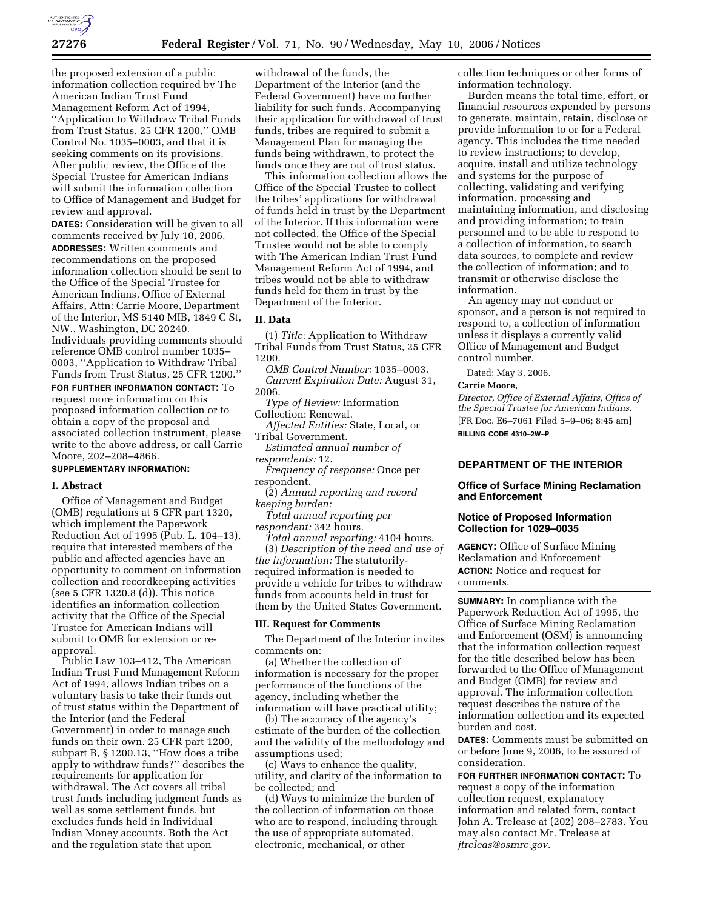

the proposed extension of a public information collection required by The American Indian Trust Fund Management Reform Act of 1994, ''Application to Withdraw Tribal Funds from Trust Status, 25 CFR 1200,'' OMB Control No. 1035–0003, and that it is seeking comments on its provisions. After public review, the Office of the Special Trustee for American Indians will submit the information collection to Office of Management and Budget for review and approval.

**DATES:** Consideration will be given to all comments received by July 10, 2006. **ADDRESSES:** Written comments and recommendations on the proposed information collection should be sent to the Office of the Special Trustee for American Indians, Office of External Affairs, Attn: Carrie Moore, Department of the Interior, MS 5140 MIB, 1849 C St, NW., Washington, DC 20240. Individuals providing comments should reference OMB control number 1035– 0003, ''Application to Withdraw Tribal Funds from Trust Status, 25 CFR 1200.''

**FOR FURTHER INFORMATION CONTACT:** To request more information on this proposed information collection or to obtain a copy of the proposal and associated collection instrument, please write to the above address, or call Carrie Moore, 202–208–4866.

## **SUPPLEMENTARY INFORMATION:**

### **I. Abstract**

Office of Management and Budget (OMB) regulations at 5 CFR part 1320, which implement the Paperwork Reduction Act of 1995 (Pub. L. 104–13), require that interested members of the public and affected agencies have an opportunity to comment on information collection and recordkeeping activities (see 5 CFR 1320.8 (d)). This notice identifies an information collection activity that the Office of the Special Trustee for American Indians will submit to OMB for extension or reapproval.

Public Law 103–412, The American Indian Trust Fund Management Reform Act of 1994, allows Indian tribes on a voluntary basis to take their funds out of trust status within the Department of the Interior (and the Federal Government) in order to manage such funds on their own. 25 CFR part 1200, subpart B, § 1200.13, ''How does a tribe apply to withdraw funds?'' describes the requirements for application for withdrawal. The Act covers all tribal trust funds including judgment funds as well as some settlement funds, but excludes funds held in Individual Indian Money accounts. Both the Act and the regulation state that upon

withdrawal of the funds, the Department of the Interior (and the Federal Government) have no further liability for such funds. Accompanying their application for withdrawal of trust funds, tribes are required to submit a Management Plan for managing the funds being withdrawn, to protect the funds once they are out of trust status.

This information collection allows the Office of the Special Trustee to collect the tribes' applications for withdrawal of funds held in trust by the Department of the Interior. If this information were not collected, the Office of the Special Trustee would not be able to comply with The American Indian Trust Fund Management Reform Act of 1994, and tribes would not be able to withdraw funds held for them in trust by the Department of the Interior.

### **II. Data**

(1) *Title:* Application to Withdraw Tribal Funds from Trust Status, 25 CFR 1200.

*OMB Control Number:* 1035–0003. *Current Expiration Date:* August 31, 2006.

*Type of Review:* Information Collection: Renewal.

*Affected Entities:* State, Local, or Tribal Government.

*Estimated annual number of respondents:* 12.

*Frequency of response:* Once per respondent.

(2) *Annual reporting and record keeping burden:* 

*Total annual reporting per respondent:* 342 hours.

*Total annual reporting:* 4104 hours. (3) *Description of the need and use of the information:* The statutorilyrequired information is needed to provide a vehicle for tribes to withdraw funds from accounts held in trust for

# **III. Request for Comments**

The Department of the Interior invites comments on:

them by the United States Government.

(a) Whether the collection of information is necessary for the proper performance of the functions of the agency, including whether the information will have practical utility;

(b) The accuracy of the agency's estimate of the burden of the collection and the validity of the methodology and assumptions used;

(c) Ways to enhance the quality, utility, and clarity of the information to be collected; and

(d) Ways to minimize the burden of the collection of information on those who are to respond, including through the use of appropriate automated, electronic, mechanical, or other

collection techniques or other forms of information technology.

Burden means the total time, effort, or financial resources expended by persons to generate, maintain, retain, disclose or provide information to or for a Federal agency. This includes the time needed to review instructions; to develop, acquire, install and utilize technology and systems for the purpose of collecting, validating and verifying information, processing and maintaining information, and disclosing and providing information; to train personnel and to be able to respond to a collection of information, to search data sources, to complete and review the collection of information; and to transmit or otherwise disclose the information.

An agency may not conduct or sponsor, and a person is not required to respond to, a collection of information unless it displays a currently valid Office of Management and Budget control number.

Dated: May 3, 2006.

#### **Carrie Moore,**

*Director, Office of External Affairs, Office of the Special Trustee for American Indians.*  [FR Doc. E6–7061 Filed 5–9–06; 8:45 am] **BILLING CODE 4310–2W–P** 

# **DEPARTMENT OF THE INTERIOR**

## **Office of Surface Mining Reclamation and Enforcement**

## **Notice of Proposed Information Collection for 1029–0035**

**AGENCY:** Office of Surface Mining Reclamation and Enforcement **ACTION:** Notice and request for comments.

**SUMMARY:** In compliance with the Paperwork Reduction Act of 1995, the Office of Surface Mining Reclamation and Enforcement (OSM) is announcing that the information collection request for the title described below has been forwarded to the Office of Management and Budget (OMB) for review and approval. The information collection request describes the nature of the information collection and its expected burden and cost.

**DATES:** Comments must be submitted on or before June 9, 2006, to be assured of consideration.

**FOR FURTHER INFORMATION CONTACT:** To request a copy of the information collection request, explanatory information and related form, contact John A. Trelease at (202) 208–2783. You may also contact Mr. Trelease at *jtreleas@osmre.gov.*